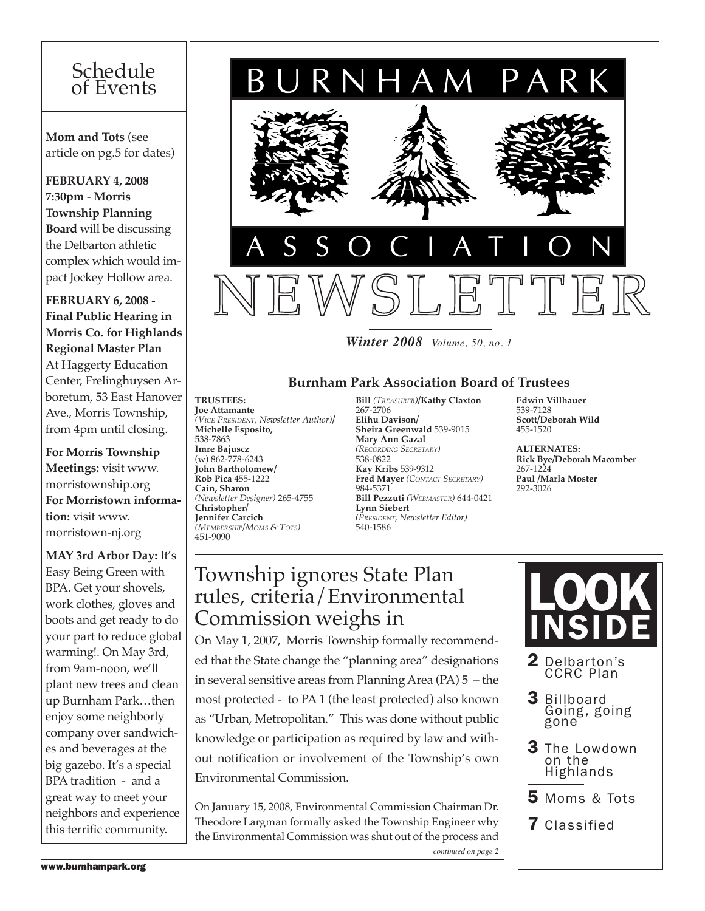# Schedule of Events

**Mom and Tots** (see article on pg.5 for dates)

**February 4, 2008 7:30pm** - **Morris Township Planning Board** will be discussing the Delbarton athletic complex which would impact Jockey Hollow area.

**FEBRUARY 6, 2008 - Final Public Hearing in Morris Co. for Highlands Regional Master Plan**  At Haggerty Education Center, Frelinghuysen Arboretum, 53 East Hanover Ave., Morris Township, from 4pm until closing.

**For Morris Township Meetings:** visit www. morristownship.org **For Morristown information:** visit www. morristown-nj.org

**MAY 3rd Arbor Day:** It's Easy Being Green with BPA. Get your shovels, work clothes, gloves and boots and get ready to do your part to reduce global warming!. On May 3rd, from 9am-noon, we'll plant new trees and clean up Burnham Park…then enjoy some neighborly company over sandwiches and beverages at the big gazebo. It's a special BPA tradition - and a great way to meet your neighbors and experience this terrific community.



*Winter 2008 Volume, 50, no. 1*

# **Burnham Park Association Board of Trustees**

**Trustees: Joe Attamante**  *(Vice President, Newsletter Author)***/ Michelle Esposito,**  538-7863 **Imre Bajuscz**  (w) 862-778-6243 **John Bartholomew/ Rob Pica** 455-1222 **Cain, Sharon**  *(Newsletter Designer)* 265-4755 **Christopher/ Jennifer Carcich** *(Membership/Moms & Tots)* 451-9090

**Bill** *(Treasurer)***/Kathy Claxton**  267-2706 **Elihu Davison/ Sheira Greenwald** 539-9015 **Mary Ann Gazal**  *(Recording Secretary)* 538-0822 **Kay Kribs** 539-9312 **Fred Mayer** *(Contact Secretary)* 984-5371 **Bill Pezzuti** *(Webmaster)* 644-0421 **Lynn Siebert**  *(President, Newsletter Editor)*  540-1586

**Edwin Villhauer**  539-7128 **Scott/Deborah Wild** 455-1520

**Alternates: Rick Bye/Deborah Macomber**  267-1224 **Paul /Marla Moster** 292-3026

# $\mathbb{P}_{\text{nd}}$  | rules, criteria/Environmental Township ignores State Plan Commission weighs in

On May 1, 2007, Morris Township formally recommended that the State change the "planning area" designations in several sensitive areas from Planning Area (PA) 5 – the most protected - to PA 1 (the least protected) also known as "Urban, Metropolitan." This was done without public knowledge or participation as required by law and without notification or involvement of the Township's own Environmental Commission.

On January 15, 2008, Environmental Commission Chairman Dr. Theodore Largman formally asked the Township Engineer why the Environmental Commission was shut out of the process and *continued on page 2*

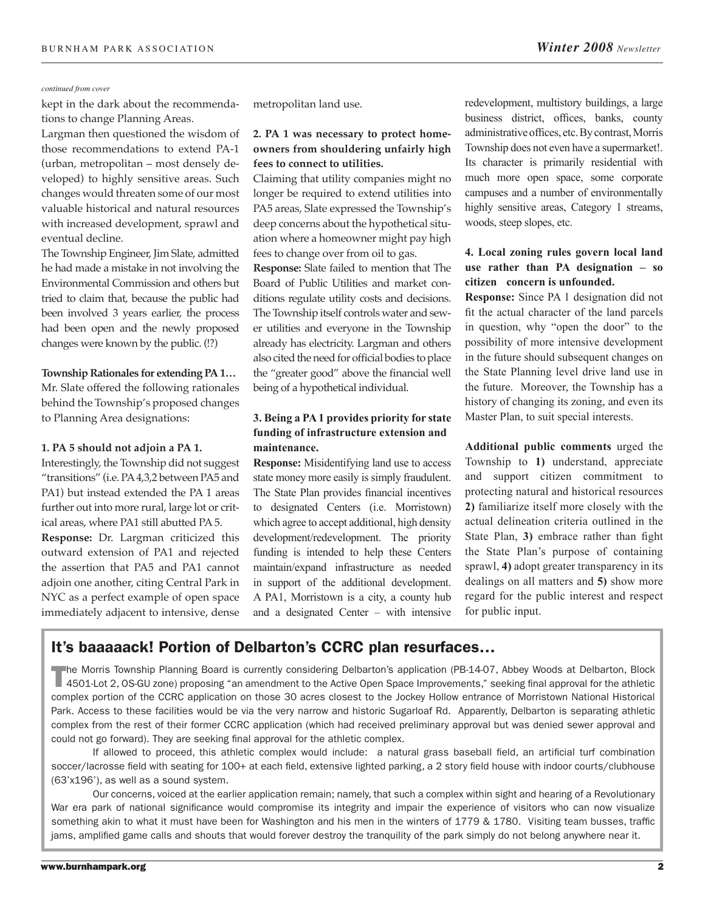#### *continued from cover*

kept in the dark about the recommendations to change Planning Areas.

Largman then questioned the wisdom of those recommendations to extend PA-1 (urban, metropolitan – most densely developed) to highly sensitive areas. Such changes would threaten some of our most valuable historical and natural resources with increased development, sprawl and eventual decline.

The Township Engineer, Jim Slate, admitted he had made a mistake in not involving the Environmental Commission and others but tried to claim that, because the public had been involved 3 years earlier, the process had been open and the newly proposed changes were known by the public. (!?)

#### **Township Rationales for extending PA 1…**

Mr. Slate offered the following rationales behind the Township's proposed changes to Planning Area designations:

### **1. PA 5 should not adjoin a PA 1.**

Interestingly, the Township did not suggest "transitions" (i.e. PA 4,3,2 between PA5 and PA1) but instead extended the PA 1 areas further out into more rural, large lot or critical areas, where PA1 still abutted PA 5.

**Response:** Dr. Largman criticized this outward extension of PA1 and rejected the assertion that PA5 and PA1 cannot adjoin one another, citing Central Park in NYC as a perfect example of open space immediately adjacent to intensive, dense

metropolitan land use.

# **2. PA 1 was necessary to protect homeowners from shouldering unfairly high fees to connect to utilities.**

Claiming that utility companies might no longer be required to extend utilities into PA5 areas, Slate expressed the Township's deep concerns about the hypothetical situation where a homeowner might pay high fees to change over from oil to gas.

**Response:** Slate failed to mention that The Board of Public Utilities and market conditions regulate utility costs and decisions. The Township itself controls water and sewer utilities and everyone in the Township already has electricity. Largman and others also cited the need for official bodies to place the "greater good" above the financial well being of a hypothetical individual.

# **3. Being a PA 1 provides priority for state funding of infrastructure extension and maintenance.**

**Response:** Misidentifying land use to access state money more easily is simply fraudulent. The State Plan provides financial incentives to designated Centers (i.e. Morristown) which agree to accept additional, high density development/redevelopment. The priority funding is intended to help these Centers maintain/expand infrastructure as needed in support of the additional development. A PA1, Morristown is a city, a county hub and a designated Center – with intensive redevelopment, multistory buildings, a large business district, offices, banks, county administrative offices, etc. By contrast, Morris Township does not even have a supermarket!. Its character is primarily residential with much more open space, some corporate campuses and a number of environmentally highly sensitive areas, Category 1 streams, woods, steep slopes, etc.

# **4. Local zoning rules govern local land use rather than PA designation – so citizen concern is unfounded.**

**Response:** Since PA 1 designation did not fit the actual character of the land parcels in question, why "open the door" to the possibility of more intensive development in the future should subsequent changes on the State Planning level drive land use in the future. Moreover, the Township has a history of changing its zoning, and even its Master Plan, to suit special interests.

**Additional public comments** urged the Township to **1)** understand, appreciate and support citizen commitment to protecting natural and historical resources **2)** familiarize itself more closely with the actual delineation criteria outlined in the State Plan, **3)** embrace rather than fight the State Plan's purpose of containing sprawl, **4)** adopt greater transparency in its dealings on all matters and **5)** show more regard for the public interest and respect for public input.

# It's baaaaack! Portion of Delbarton's CCRC plan resurfaces…

The Morris Township Planning Board is currently considering Delbarton's application (PB-14-07, Abbey Woods at Delbarton, Block 4501-Lot 2, 0S-GU zone) proposing "an amendment to the Active Open Space Improvements," seeking complex portion of the CCRC application on those 30 acres closest to the Jockey Hollow entrance of Morristown National Historical Park. Access to these facilities would be via the very narrow and historic Sugarloaf Rd. Apparently, Delbarton is separating athletic complex from the rest of their former CCRC application (which had received preliminary approval but was denied sewer approval and could not go forward). They are seeking final approval for the athletic complex.

If allowed to proceed, this athletic complex would include: a natural grass baseball field, an artificial turf combination soccer/lacrosse field with seating for 100+ at each field, extensive lighted parking, a 2 story field house with indoor courts/clubhouse (63'x196'), as well as a sound system.

Our concerns, voiced at the earlier application remain; namely, that such a complex within sight and hearing of a Revolutionary War era park of national significance would compromise its integrity and impair the experience of visitors who can now visualize something akin to what it must have been for Washington and his men in the winters of 1779 & 1780. Visiting team busses, traffic jams, amplified game calls and shouts that would forever destroy the tranquility of the park simply do not belong anywhere near it.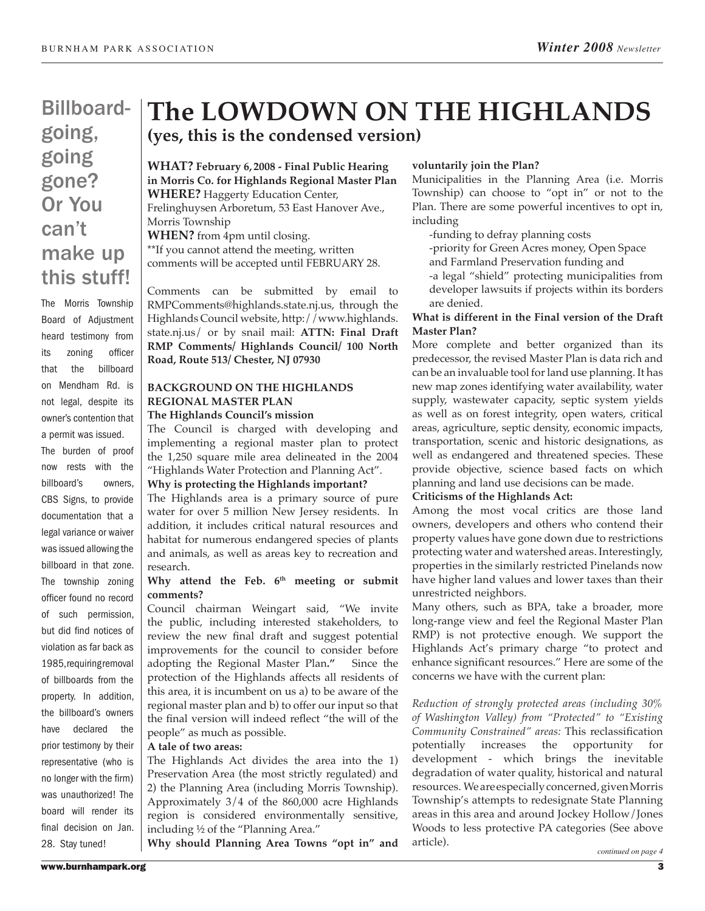# Billboardgoing, going gone? Or You can't make up this stuff!

The Morris Township Board of Adjustment heard testimony from its zoning officer that the billboard on Mendham Rd. is not legal, despite its owner's contention that a permit was issued. The burden of proof now rests with the billboard's owners, CBS Signs, to provide documentation that a legal variance or waiver was issued allowing the billboard in that zone. The township zoning officer found no record of such permission, but did find notices of violation as far back as 1985, requiring removal of billboards from the property. In addition, the billboard's owners have declared the prior testimony by their representative (who is no longer with the firm) was unauthorized! The board will render its final decision on Jan. 28. Stay tuned!

# **The LOWDOWN ON THE HIGHLANDS (yes, this is the condensed version)**

**What? February 6, 2008 - Final Public Hearing in Morris Co. for Highlands Regional Master Plan WHERE?** Haggerty Education Center, Frelinghuysen Arboretum, 53 East Hanover Ave., Morris Township **When?** from 4pm until closing. \*\*If you cannot attend the meeting, written

comments will be accepted until FEBRUARY 28.

Comments can be submitted by email to RMPComments@highlands.state.nj.us, through the Highlands Council website, http://www.highlands. state.nj.us/ or by snail mail: **ATTN: Final Draft RMP Comments/ Highlands Council/ 100 North Road, Route 513/ Chester, NJ 07930**

# **BACKGROUND ON THE HIGHLANDS REGIONAL MASTER PLAN**

# **The Highlands Council's mission**

The Council is charged with developing and implementing a regional master plan to protect the 1,250 square mile area delineated in the 2004 "Highlands Water Protection and Planning Act".

#### **Why is protecting the Highlands important?**

The Highlands area is a primary source of pure water for over 5 million New Jersey residents. In addition, it includes critical natural resources and habitat for numerous endangered species of plants and animals, as well as areas key to recreation and research.

## Why attend the Feb. 6<sup>th</sup> meeting or submit **comments?**

Council chairman Weingart said, "We invite the public, including interested stakeholders, to review the new final draft and suggest potential improvements for the council to consider before adopting the Regional Master Plan**."** Since the protection of the Highlands affects all residents of this area, it is incumbent on us a) to be aware of the regional master plan and b) to offer our input so that the final version will indeed reflect "the will of the people" as much as possible.

#### **A tale of two areas:**

The Highlands Act divides the area into the 1) Preservation Area (the most strictly regulated) and 2) the Planning Area (including Morris Township). Approximately 3/4 of the 860,000 acre Highlands region is considered environmentally sensitive, including ½ of the "Planning Area."

**Why should Planning Area Towns "opt in" and** 

### **voluntarily join the Plan?**

Municipalities in the Planning Area (i.e. Morris Township) can choose to "opt in" or not to the Plan. There are some powerful incentives to opt in, including

-funding to defray planning costs

-priority for Green Acres money, Open Space

and Farmland Preservation funding and

-a legal "shield" protecting municipalities from developer lawsuits if projects within its borders are denied.

# **What is different in the Final version of the Draft Master Plan?**

More complete and better organized than its predecessor, the revised Master Plan is data rich and can be an invaluable tool for land use planning. It has new map zones identifying water availability, water supply, wastewater capacity, septic system yields as well as on forest integrity, open waters, critical areas, agriculture, septic density, economic impacts, transportation, scenic and historic designations, as well as endangered and threatened species. These provide objective, science based facts on which planning and land use decisions can be made.

## **Criticisms of the Highlands Act:**

Among the most vocal critics are those land owners, developers and others who contend their property values have gone down due to restrictions protecting water and watershed areas. Interestingly, properties in the similarly restricted Pinelands now have higher land values and lower taxes than their unrestricted neighbors.

Many others, such as BPA, take a broader, more long-range view and feel the Regional Master Plan RMP) is not protective enough. We support the Highlands Act's primary charge "to protect and enhance significant resources." Here are some of the concerns we have with the current plan:

*Reduction of strongly protected areas (including 30% of Washington Valley) from "Protected" to "Existing Community Constrained" areas:* This reclassification potentially increases the opportunity for development - which brings the inevitable degradation of water quality, historical and natural resources. We are especially concerned, given Morris Township's attempts to redesignate State Planning areas in this area and around Jockey Hollow/Jones Woods to less protective PA categories (See above article).

*continued on page 4*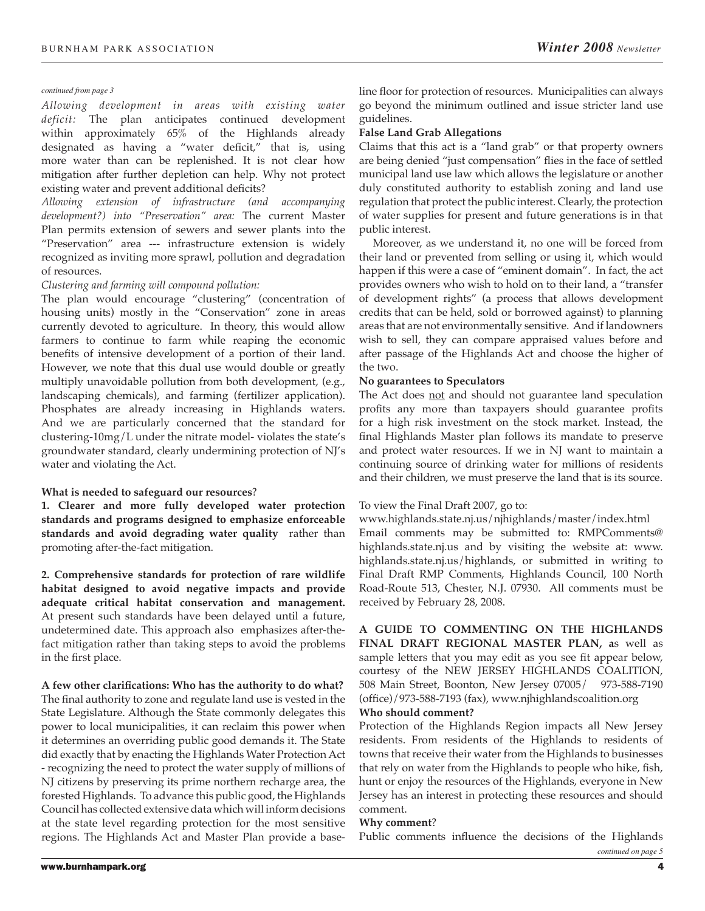#### *continued from page 3*

*Allowing development in areas with existing water deficit:* The plan anticipates continued development within approximately 65% of the Highlands already designated as having a "water deficit," that is, using more water than can be replenished. It is not clear how mitigation after further depletion can help. Why not protect existing water and prevent additional deficits?

*Allowing extension of infrastructure (and accompanying development?) into "Preservation" area:* The current Master Plan permits extension of sewers and sewer plants into the "Preservation" area --- infrastructure extension is widely recognized as inviting more sprawl, pollution and degradation of resources.

## *Clustering and farming will compound pollution:*

The plan would encourage "clustering" (concentration of housing units) mostly in the "Conservation" zone in areas currently devoted to agriculture. In theory, this would allow farmers to continue to farm while reaping the economic benefits of intensive development of a portion of their land. However, we note that this dual use would double or greatly multiply unavoidable pollution from both development, (e.g., landscaping chemicals), and farming (fertilizer application). Phosphates are already increasing in Highlands waters. And we are particularly concerned that the standard for clustering-10mg/L under the nitrate model- violates the state's groundwater standard, clearly undermining protection of NJ's water and violating the Act.

## **What is needed to safeguard our resources**?

**1. Clearer and more fully developed water protection standards and programs designed to emphasize enforceable standards and avoid degrading water quality** rather than promoting after-the-fact mitigation.

**2. Comprehensive standards for protection of rare wildlife habitat designed to avoid negative impacts and provide adequate critical habitat conservation and management.** At present such standards have been delayed until a future, undetermined date. This approach also emphasizes after-thefact mitigation rather than taking steps to avoid the problems in the first place.

**A few other clarifications: Who has the authority to do what?**  The final authority to zone and regulate land use is vested in the State Legislature. Although the State commonly delegates this power to local municipalities, it can reclaim this power when it determines an overriding public good demands it. The State did exactly that by enacting the Highlands Water Protection Act - recognizing the need to protect the water supply of millions of NJ citizens by preserving its prime northern recharge area, the forested Highlands. To advance this public good, the Highlands Council has collected extensive data which will inform decisions at the state level regarding protection for the most sensitive regions. The Highlands Act and Master Plan provide a base-

line floor for protection of resources. Municipalities can always go beyond the minimum outlined and issue stricter land use guidelines.

#### **False Land Grab Allegations**

Claims that this act is a "land grab" or that property owners are being denied "just compensation" flies in the face of settled municipal land use law which allows the legislature or another duly constituted authority to establish zoning and land use regulation that protect the public interest. Clearly, the protection of water supplies for present and future generations is in that public interest.

Moreover, as we understand it, no one will be forced from their land or prevented from selling or using it, which would happen if this were a case of "eminent domain". In fact, the act provides owners who wish to hold on to their land, a "transfer of development rights" (a process that allows development credits that can be held, sold or borrowed against) to planning areas that are not environmentally sensitive. And if landowners wish to sell, they can compare appraised values before and after passage of the Highlands Act and choose the higher of the two.

#### **No guarantees to Speculators**

The Act does not and should not guarantee land speculation profits any more than taxpayers should guarantee profits for a high risk investment on the stock market. Instead, the final Highlands Master plan follows its mandate to preserve and protect water resources. If we in NJ want to maintain a continuing source of drinking water for millions of residents and their children, we must preserve the land that is its source.

## To view the Final Draft 2007, go to:

www.highlands.state.nj.us/njhighlands/master/index.html Email comments may be submitted to: RMPComments@ highlands.state.nj.us and by visiting the website at: www. highlands.state.nj.us/highlands, or submitted in writing to Final Draft RMP Comments, Highlands Council, 100 North Road-Route 513, Chester, N.J. 07930. All comments must be received by February 28, 2008.

**A GUIDE TO COMMENTING ON THE HIGHLANDS FINAL DRAFT REGIONAL MASTER PLAN, a**s well as sample letters that you may edit as you see fit appear below, courtesy of the NEW JERSEY HIGHLANDS COALITION, 508 Main Street, Boonton, New Jersey 07005/ 973-588-7190 (office)/973-588-7193 (fax), www.njhighlandscoalition.org

#### **Who should comment?**

Protection of the Highlands Region impacts all New Jersey residents. From residents of the Highlands to residents of towns that receive their water from the Highlands to businesses that rely on water from the Highlands to people who hike, fish, hunt or enjoy the resources of the Highlands, everyone in New Jersey has an interest in protecting these resources and should comment.

#### **Why comment**?

Public comments influence the decisions of the Highlands

*continued on page 5*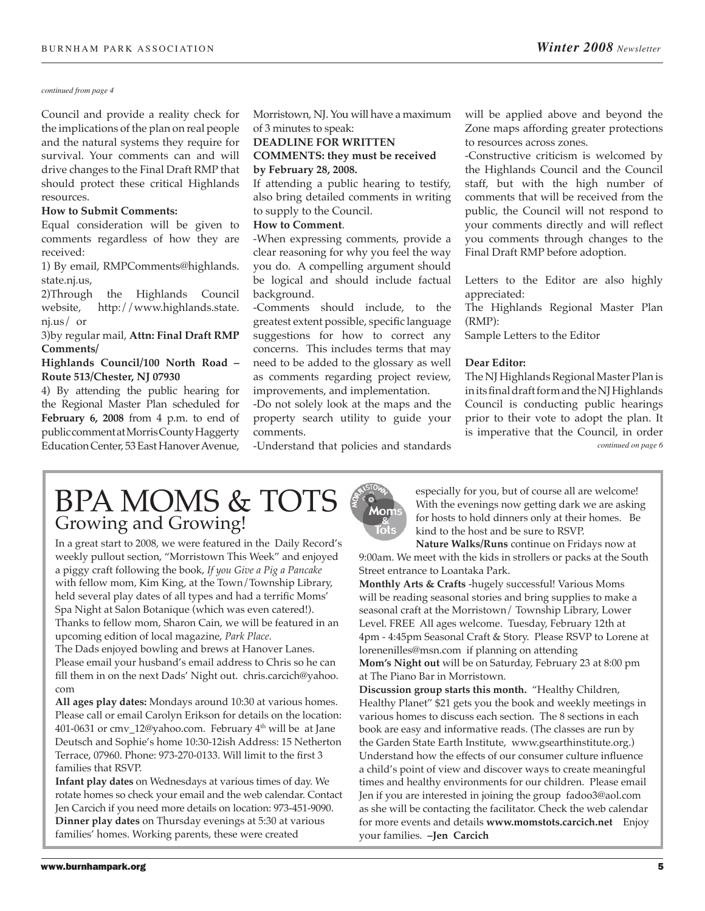#### *continued from page 4*

Council and provide a reality check for the implications of the plan on real people and the natural systems they require for survival. Your comments can and will drive changes to the Final Draft RMP that should protect these critical Highlands resources.

#### **How to Submit Comments:**

Equal consideration will be given to comments regardless of how they are received:

1) By email, RMPComments@highlands. state.nj.us,

2)Through the Highlands Council website, http://www.highlands.state. nj.us/ or

# 3)by regular mail, **Attn: Final Draft RMP Comments/**

### **Highlands Council/100 North Road – Route 513/Chester, NJ 07930**

4) By attending the public hearing for the Regional Master Plan scheduled for **February 6, 2008** from 4 p.m. to end of public comment at Morris County Haggerty Education Center, 53 East Hanover Avenue,

Morristown, NJ. You will have a maximum of 3 minutes to speak:

# **DEADLINE FOR WRITTEN COMMENTS: they must be received**

**by February 28, 2008.**

If attending a public hearing to testify, also bring detailed comments in writing to supply to the Council.

#### **How to Comment**.

-When expressing comments, provide a clear reasoning for why you feel the way you do. A compelling argument should be logical and should include factual background.

-Comments should include, to the greatest extent possible, specific language suggestions for how to correct any concerns. This includes terms that may need to be added to the glossary as well as comments regarding project review, improvements, and implementation.

-Do not solely look at the maps and the property search utility to guide your comments.

-Understand that policies and standards

will be applied above and beyond the Zone maps affording greater protections to resources across zones.

-Constructive criticism is welcomed by the Highlands Council and the Council staff, but with the high number of comments that will be received from the public, the Council will not respond to your comments directly and will reflect you comments through changes to the Final Draft RMP before adoption.

Letters to the Editor are also highly appreciated:

The Highlands Regional Master Plan (RMP):

Sample Letters to the Editor

#### **Dear Editor:**

The NJ Highlands Regional Master Plan is in its final draft form and the NJ Highlands Council is conducting public hearings prior to their vote to adopt the plan. It is imperative that the Council, in order *continued on page 6*

# BPA MOMS & TOTS Growing and Growing!

In a great start to 2008, we were featured in the Daily Record's weekly pullout section, "Morristown This Week" and enjoyed a piggy craft following the book, *If you Give a Pig a Pancake* with fellow mom, Kim King, at the Town/Township Library, held several play dates of all types and had a terrific Moms' Spa Night at Salon Botanique (which was even catered!). Thanks to fellow mom, Sharon Cain, we will be featured in an upcoming edition of local magazine, *Park Place*.

The Dads enjoyed bowling and brews at Hanover Lanes. Please email your husband's email address to Chris so he can fill them in on the next Dads' Night out. chris.carcich@yahoo. com

**All ages play dates:** Mondays around 10:30 at various homes. Please call or email Carolyn Erikson for details on the location: 401-0631 or cmv\_12@yahoo.com. February  $4<sup>th</sup>$  will be at Jane Deutsch and Sophie's home 10:30-12ish Address: 15 Netherton Terrace, 07960. Phone: 973-270-0133. Will limit to the first 3 families that RSVP.

**Infant play dates** on Wednesdays at various times of day. We rotate homes so check your email and the web calendar. Contact Jen Carcich if you need more details on location: 973-451-9090. **Dinner play dates** on Thursday evenings at 5:30 at various families' homes. Working parents, these were created



especially for you, but of course all are welcome! With the evenings now getting dark we are asking for hosts to hold dinners only at their homes. Be kind to the host and be sure to RSVP.

**Nature Walks/Runs** continue on Fridays now at 9:00am. We meet with the kids in strollers or packs at the South Street entrance to Loantaka Park.

**Monthly Arts & Crafts** -hugely successful! Various Moms will be reading seasonal stories and bring supplies to make a seasonal craft at the Morristown/ Township Library, Lower Level. FREE All ages welcome. Tuesday, February 12th at 4pm - 4:45pm Seasonal Craft & Story. Please RSVP to Lorene at lorenenilles@msn.com if planning on attending **Mom's Night out** will be on Saturday, February 23 at 8:00 pm at The Piano Bar in Morristown.

**Discussion group starts this month.** "Healthy Children, Healthy Planet" \$21 gets you the book and weekly meetings in various homes to discuss each section. The 8 sections in each book are easy and informative reads. (The classes are run by the Garden State Earth Institute, www.gsearthinstitute.org.) Understand how the effects of our consumer culture influence a child's point of view and discover ways to create meaningful times and healthy environments for our children. Please email Jen if you are interested in joining the group fadoo3@aol.com as she will be contacting the facilitator. Check the web calendar for more events and details **www.momstots.carcich.net** Enjoy your families. **–Jen Carcich**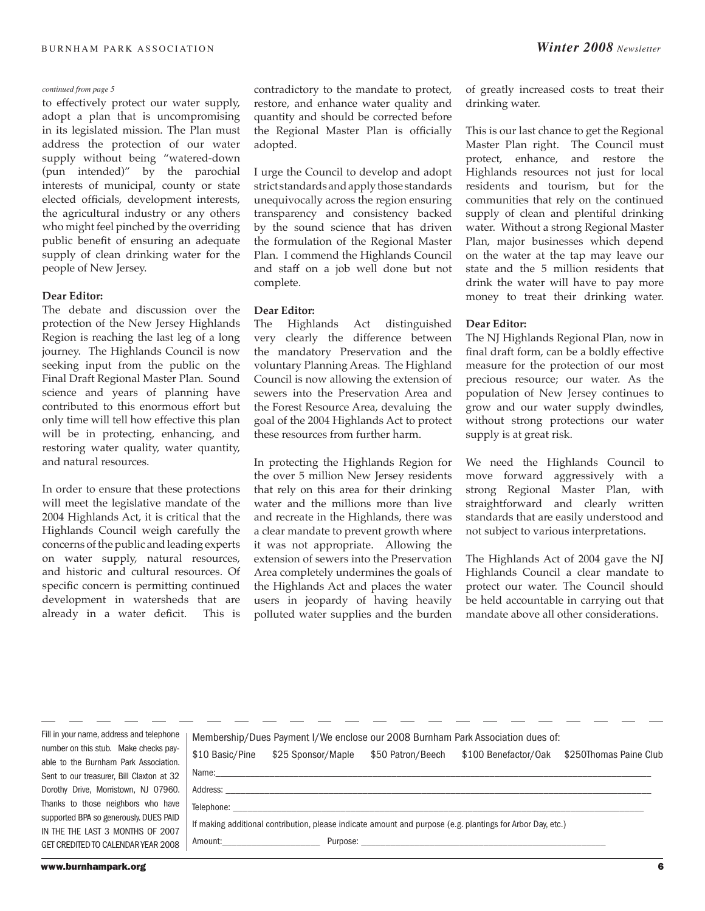to effectively protect our water supply, adopt a plan that is uncompromising in its legislated mission. The Plan must address the protection of our water supply without being "watered-down (pun intended)" by the parochial interests of municipal, county or state elected officials, development interests, the agricultural industry or any others who might feel pinched by the overriding public benefit of ensuring an adequate supply of clean drinking water for the people of New Jersey.

#### **Dear Editor:**

The debate and discussion over the protection of the New Jersey Highlands Region is reaching the last leg of a long journey. The Highlands Council is now seeking input from the public on the Final Draft Regional Master Plan. Sound science and years of planning have contributed to this enormous effort but only time will tell how effective this plan will be in protecting, enhancing, and restoring water quality, water quantity, and natural resources.

In order to ensure that these protections will meet the legislative mandate of the 2004 Highlands Act, it is critical that the Highlands Council weigh carefully the concerns of the public and leading experts on water supply, natural resources, and historic and cultural resources. Of specific concern is permitting continued development in watersheds that are already in a water deficit. This is contradictory to the mandate to protect, restore, and enhance water quality and quantity and should be corrected before the Regional Master Plan is officially adopted.

I urge the Council to develop and adopt strict standards and apply those standards unequivocally across the region ensuring transparency and consistency backed by the sound science that has driven the formulation of the Regional Master Plan. I commend the Highlands Council and staff on a job well done but not complete.

## **Dear Editor:**

The Highlands Act distinguished very clearly the difference between the mandatory Preservation and the voluntary Planning Areas. The Highland Council is now allowing the extension of sewers into the Preservation Area and the Forest Resource Area, devaluing the goal of the 2004 Highlands Act to protect these resources from further harm.

In protecting the Highlands Region for the over 5 million New Jersey residents that rely on this area for their drinking water and the millions more than live and recreate in the Highlands, there was a clear mandate to prevent growth where it was not appropriate. Allowing the extension of sewers into the Preservation Area completely undermines the goals of the Highlands Act and places the water users in jeopardy of having heavily polluted water supplies and the burden

of greatly increased costs to treat their drinking water.

This is our last chance to get the Regional Master Plan right. The Council must protect, enhance, and restore the Highlands resources not just for local residents and tourism, but for the communities that rely on the continued supply of clean and plentiful drinking water. Without a strong Regional Master Plan, major businesses which depend on the water at the tap may leave our state and the 5 million residents that drink the water will have to pay more money to treat their drinking water.

#### **Dear Editor:**

The NJ Highlands Regional Plan, now in final draft form, can be a boldly effective measure for the protection of our most precious resource; our water. As the population of New Jersey continues to grow and our water supply dwindles, without strong protections our water supply is at great risk.

We need the Highlands Council to move forward aggressively with a strong Regional Master Plan, with straightforward and clearly written standards that are easily understood and not subject to various interpretations.

The Highlands Act of 2004 gave the NJ Highlands Council a clear mandate to protect our water. The Council should be held accountable in carrying out that mandate above all other considerations.

Fill in your name, address and telephone number on this stub. Make checks payable to the Burnham Park Association. Sent to our treasurer, Bill Claxton at 32 Dorothy Drive, Morristown, NJ 07960. Thanks to those neighbors who have supported BPA so generously. DUES PAID IN THE THE LAST 3 MONTHS OF 2007 GET CREDITED TO CALENDAR YEAR 2008

|                 |                                                                                                                                                                                                                                | Membership/Dues Payment I/We enclose our 2008 Burnham Park Association dues of:                            |                        |
|-----------------|--------------------------------------------------------------------------------------------------------------------------------------------------------------------------------------------------------------------------------|------------------------------------------------------------------------------------------------------------|------------------------|
| \$10 Basic/Pine | \$25 Sponsor/Maple                                                                                                                                                                                                             | \$50 Patron/Beech \$100 Benefactor/Oak                                                                     | \$250Thomas Paine Club |
|                 |                                                                                                                                                                                                                                |                                                                                                            |                        |
|                 | Address: Address: Address: Address: Address: Address: Address: Address: Address: Address: Address: Address: Address: Address: Address: Address: Address: Address: Address: Address: Address: Address: Address: Address: Addres |                                                                                                            |                        |
|                 | Telephone: The contract of the contract of the contract of the contract of the contract of the contract of the contract of the contract of the contract of the contract of the contract of the contract of the contract of the |                                                                                                            |                        |
|                 |                                                                                                                                                                                                                                | If making additional contribution, please indicate amount and purpose (e.g. plantings for Arbor Day, etc.) |                        |
| Amount:         | Purpose:                                                                                                                                                                                                                       |                                                                                                            |                        |